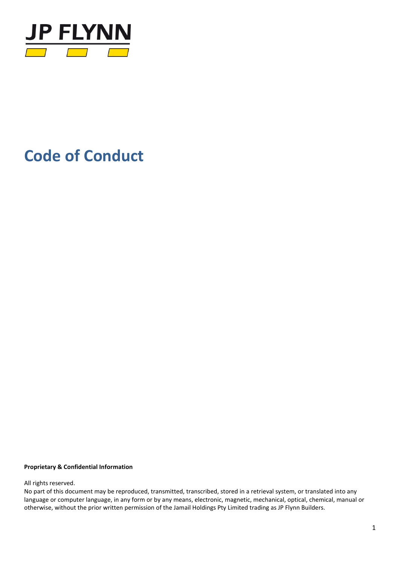

# **Code of Conduct**

#### **Proprietary & Confidential Information**

All rights reserved.

No part of this document may be reproduced, transmitted, transcribed, stored in a retrieval system, or translated into any language or computer language, in any form or by any means, electronic, magnetic, mechanical, optical, chemical, manual or otherwise, without the prior written permission of the Jamail Holdings Pty Limited trading as JP Flynn Builders.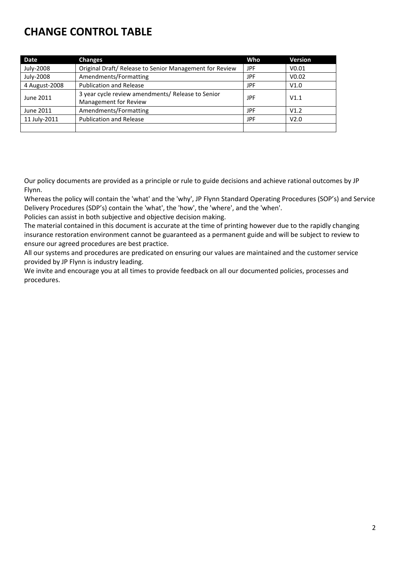## **CHANGE CONTROL TABLE**

| Date          | <b>Changes</b>                                          | Who | <b>Version</b>    |
|---------------|---------------------------------------------------------|-----|-------------------|
| July-2008     | Original Draft/ Release to Senior Management for Review | JPF | V <sub>0.01</sub> |
| July-2008     | Amendments/Formatting                                   | JPF | V <sub>0.02</sub> |
| 4 August-2008 | <b>Publication and Release</b>                          | JPF | V1.0              |
| June 2011     | 3 year cycle review amendments/ Release to Senior       | JPF | V1.1              |
|               | Management for Review                                   |     |                   |
| June 2011     | Amendments/Formatting                                   | JPF | V1.2              |
| 11 July-2011  | <b>Publication and Release</b>                          | JPF | V2.0              |
|               |                                                         |     |                   |

Our policy documents are provided as a principle or rule to guide decisions and achieve rational outcomes by JP Flynn.

Whereas the policy will contain the 'what' and the 'why', JP Flynn Standard Operating Procedures (SOP's) and Service Delivery Procedures (SDP's) contain the 'what', the 'how', the 'where', and the 'when'.

Policies can assist in both subjective and objective decision making.

The material contained in this document is accurate at the time of printing however due to the rapidly changing insurance restoration environment cannot be guaranteed as a permanent guide and will be subject to review to ensure our agreed procedures are best practice.

All our systems and procedures are predicated on ensuring our values are maintained and the customer service provided by JP Flynn is industry leading.

We invite and encourage you at all times to provide feedback on all our documented policies, processes and procedures.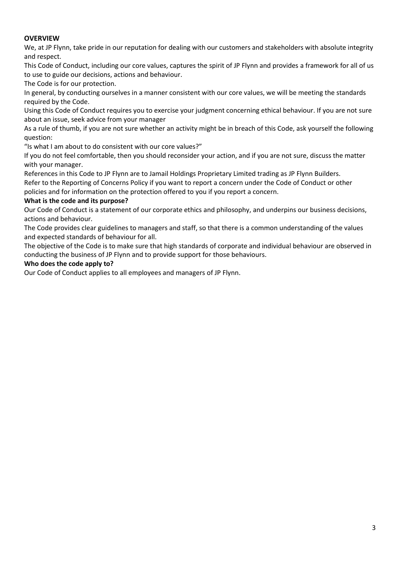### **OVERVIEW**

We, at JP Flynn, take pride in our reputation for dealing with our customers and stakeholders with absolute integrity and respect.

This Code of Conduct, including our core values, captures the spirit of JP Flynn and provides a framework for all of us to use to guide our decisions, actions and behaviour.

The Code is for our protection.

In general, by conducting ourselves in a manner consistent with our core values, we will be meeting the standards required by the Code.

Using this Code of Conduct requires you to exercise your judgment concerning ethical behaviour. If you are not sure about an issue, seek advice from your manager

As a rule of thumb, if you are not sure whether an activity might be in breach of this Code, ask yourself the following question:

"Is what I am about to do consistent with our core values?"

If you do not feel comfortable, then you should reconsider your action, and if you are not sure, discuss the matter with your manager.

References in this Code to JP Flynn are to Jamail Holdings Proprietary Limited trading as JP Flynn Builders. Refer to the Reporting of Concerns Policy if you want to report a concern under the Code of Conduct or other policies and for information on the protection offered to you if you report a concern.

#### **What is the code and its purpose?**

Our Code of Conduct is a statement of our corporate ethics and philosophy, and underpins our business decisions, actions and behaviour.

The Code provides clear guidelines to managers and staff, so that there is a common understanding of the values and expected standards of behaviour for all.

The objective of the Code is to make sure that high standards of corporate and individual behaviour are observed in conducting the business of JP Flynn and to provide support for those behaviours.

#### **Who does the code apply to?**

Our Code of Conduct applies to all employees and managers of JP Flynn.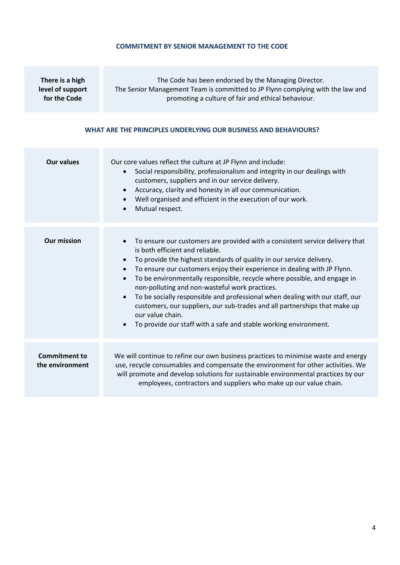#### **COMMITMENT BY SENIOR MANAGEMENT TO THE CODE**

**There is a high level of support for the Code**

The Code has been endorsed by the Managing Director. The Senior Management Team is committed to JP Flynn complying with the law and promoting a culture of fair and ethical behaviour.

#### **WHAT ARE THE PRINCIPLES UNDERLYING OUR BUSINESS AND BEHAVIOURS?**

| <b>Our values</b>                       | Our core values reflect the culture at JP Flynn and include:<br>Social responsibility, professionalism and integrity in our dealings with<br>$\bullet$<br>customers, suppliers and in our service delivery.<br>Accuracy, clarity and honesty in all our communication.<br>$\bullet$<br>Well organised and efficient in the execution of our work.<br>$\bullet$<br>Mutual respect.<br>$\bullet$                                                                                                                                                                                                                                                                                                                                        |
|-----------------------------------------|---------------------------------------------------------------------------------------------------------------------------------------------------------------------------------------------------------------------------------------------------------------------------------------------------------------------------------------------------------------------------------------------------------------------------------------------------------------------------------------------------------------------------------------------------------------------------------------------------------------------------------------------------------------------------------------------------------------------------------------|
| <b>Our mission</b>                      | To ensure our customers are provided with a consistent service delivery that<br>$\bullet$<br>is both efficient and reliable.<br>To provide the highest standards of quality in our service delivery.<br>$\bullet$<br>To ensure our customers enjoy their experience in dealing with JP Flynn.<br>$\bullet$<br>To be environmentally responsible, recycle where possible, and engage in<br>$\bullet$<br>non-polluting and non-wasteful work practices.<br>To be socially responsible and professional when dealing with our staff, our<br>$\bullet$<br>customers, our suppliers, our sub-trades and all partnerships that make up<br>our value chain.<br>To provide our staff with a safe and stable working environment.<br>$\bullet$ |
| <b>Commitment to</b><br>the environment | We will continue to refine our own business practices to minimise waste and energy<br>use, recycle consumables and compensate the environment for other activities. We<br>will promote and develop solutions for sustainable environmental practices by our<br>employees, contractors and suppliers who make up our value chain.                                                                                                                                                                                                                                                                                                                                                                                                      |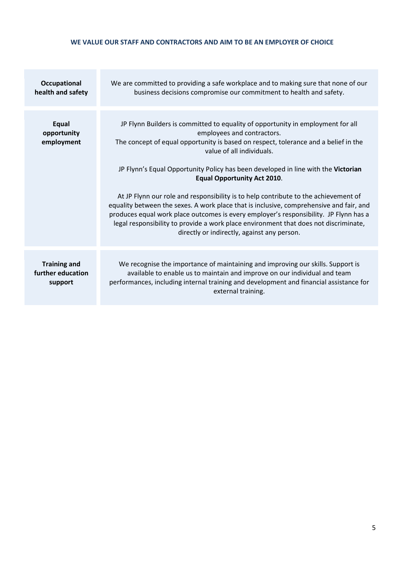#### **WE VALUE OUR STAFF AND CONTRACTORS AND AIM TO BE AN EMPLOYER OF CHOICE**

| Occupational<br>health and safety                   | We are committed to providing a safe workplace and to making sure that none of our<br>business decisions compromise our commitment to health and safety.                                                                                                                                                                                                                                                                                                                                                                                                                                                                                                                                                                                                                       |
|-----------------------------------------------------|--------------------------------------------------------------------------------------------------------------------------------------------------------------------------------------------------------------------------------------------------------------------------------------------------------------------------------------------------------------------------------------------------------------------------------------------------------------------------------------------------------------------------------------------------------------------------------------------------------------------------------------------------------------------------------------------------------------------------------------------------------------------------------|
| Equal<br>opportunity<br>employment                  | JP Flynn Builders is committed to equality of opportunity in employment for all<br>employees and contractors.<br>The concept of equal opportunity is based on respect, tolerance and a belief in the<br>value of all individuals.<br>JP Flynn's Equal Opportunity Policy has been developed in line with the Victorian<br><b>Equal Opportunity Act 2010.</b><br>At JP Flynn our role and responsibility is to help contribute to the achievement of<br>equality between the sexes. A work place that is inclusive, comprehensive and fair, and<br>produces equal work place outcomes is every employer's responsibility. JP Flynn has a<br>legal responsibility to provide a work place environment that does not discriminate,<br>directly or indirectly, against any person. |
|                                                     |                                                                                                                                                                                                                                                                                                                                                                                                                                                                                                                                                                                                                                                                                                                                                                                |
| <b>Training and</b><br>further education<br>support | We recognise the importance of maintaining and improving our skills. Support is<br>available to enable us to maintain and improve on our individual and team<br>performances, including internal training and development and financial assistance for<br>external training.                                                                                                                                                                                                                                                                                                                                                                                                                                                                                                   |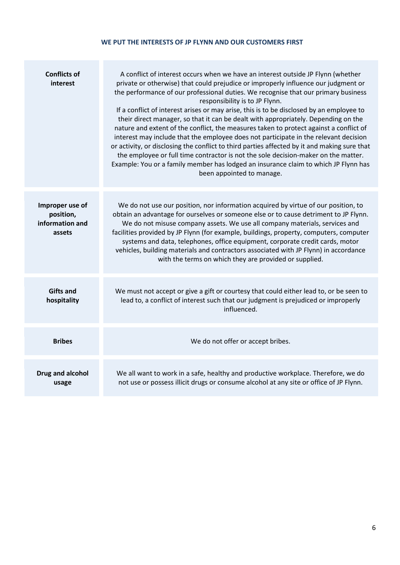#### **WE PUT THE INTERESTS OF JP FLYNN AND OUR CUSTOMERS FIRST**

| <b>Conflicts of</b><br>interest                           | A conflict of interest occurs when we have an interest outside JP Flynn (whether<br>private or otherwise) that could prejudice or improperly influence our judgment or<br>the performance of our professional duties. We recognise that our primary business<br>responsibility is to JP Flynn.<br>If a conflict of interest arises or may arise, this is to be disclosed by an employee to<br>their direct manager, so that it can be dealt with appropriately. Depending on the<br>nature and extent of the conflict, the measures taken to protect against a conflict of<br>interest may include that the employee does not participate in the relevant decision<br>or activity, or disclosing the conflict to third parties affected by it and making sure that<br>the employee or full time contractor is not the sole decision-maker on the matter.<br>Example: You or a family member has lodged an insurance claim to which JP Flynn has<br>been appointed to manage. |
|-----------------------------------------------------------|------------------------------------------------------------------------------------------------------------------------------------------------------------------------------------------------------------------------------------------------------------------------------------------------------------------------------------------------------------------------------------------------------------------------------------------------------------------------------------------------------------------------------------------------------------------------------------------------------------------------------------------------------------------------------------------------------------------------------------------------------------------------------------------------------------------------------------------------------------------------------------------------------------------------------------------------------------------------------|
| Improper use of<br>position,<br>information and<br>assets | We do not use our position, nor information acquired by virtue of our position, to<br>obtain an advantage for ourselves or someone else or to cause detriment to JP Flynn.<br>We do not misuse company assets. We use all company materials, services and<br>facilities provided by JP Flynn (for example, buildings, property, computers, computer<br>systems and data, telephones, office equipment, corporate credit cards, motor<br>vehicles, building materials and contractors associated with JP Flynn) in accordance<br>with the terms on which they are provided or supplied.                                                                                                                                                                                                                                                                                                                                                                                       |
| <b>Gifts and</b><br>hospitality                           | We must not accept or give a gift or courtesy that could either lead to, or be seen to<br>lead to, a conflict of interest such that our judgment is prejudiced or improperly<br>influenced.                                                                                                                                                                                                                                                                                                                                                                                                                                                                                                                                                                                                                                                                                                                                                                                  |
| <b>Bribes</b>                                             | We do not offer or accept bribes.                                                                                                                                                                                                                                                                                                                                                                                                                                                                                                                                                                                                                                                                                                                                                                                                                                                                                                                                            |
| Drug and alcohol<br>usage                                 | We all want to work in a safe, healthy and productive workplace. Therefore, we do<br>not use or possess illicit drugs or consume alcohol at any site or office of JP Flynn.                                                                                                                                                                                                                                                                                                                                                                                                                                                                                                                                                                                                                                                                                                                                                                                                  |